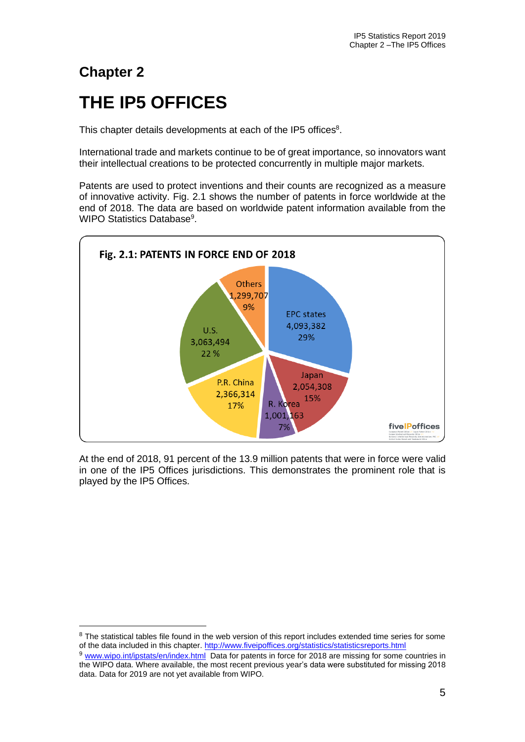# **Chapter 2**

# **THE IP5 OFFICES**

This chapter details developments at each of the IP5 offices $8$ .

International trade and markets continue to be of great importance, so innovators want their intellectual creations to be protected concurrently in multiple major markets.

Patents are used to protect inventions and their counts are recognized as a measure of innovative activity. Fig. 2.1 shows the number of patents in force worldwide at the end of 2018. The data are based on worldwide patent information available from the WIPO Statistics Database<sup>9</sup>.



At the end of 2018, 91 percent of the 13.9 million patents that were in force were valid in one of the IP5 Offices jurisdictions. This demonstrates the prominent role that is played by the IP5 Offices.

<sup>&</sup>lt;sup>8</sup> The statistical tables file found in the web version of this report includes extended time series for some of the data included in this chapter.<http://www.fiveipoffices.org/statistics/statisticsreports.html>

<sup>9</sup> [www.wipo.int/ipstats/en/index.html](http://www.wipo.int/ipstats/en/index.html) Data for patents in force for 2018 are missing for some countries in the WIPO data. Where available, the most recent previous year's data were substituted for missing 2018 data. Data for 2019 are not yet available from WIPO.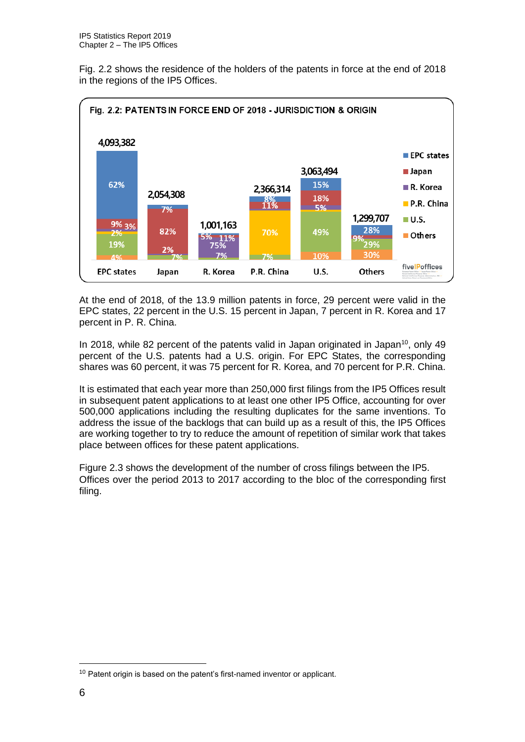Fig. 2.2 shows the residence of the holders of the patents in force at the end of 2018 in the regions of the IP5 Offices.



At the end of 2018, of the 13.9 million patents in force, 29 percent were valid in the EPC states, 22 percent in the U.S. 15 percent in Japan, 7 percent in R. Korea and 17 percent in P. R. China.

In 2018, while 82 percent of the patents valid in Japan originated in Japan<sup>10</sup>, only 49 percent of the U.S. patents had a U.S. origin. For EPC States, the corresponding shares was 60 percent, it was 75 percent for R. Korea, and 70 percent for P.R. China.

It is estimated that each year more than 250,000 first filings from the IP5 Offices result in subsequent patent applications to at least one other IP5 Office, accounting for over 500,000 applications including the resulting duplicates for the same inventions. To address the issue of the backlogs that can build up as a result of this, the IP5 Offices are working together to try to reduce the amount of repetition of similar work that takes place between offices for these patent applications.

Figure 2.3 shows the development of the number of cross filings between the IP5. Offices over the period 2013 to 2017 according to the bloc of the corresponding first filing.

<sup>&</sup>lt;sup>10</sup> Patent origin is based on the patent's first-named inventor or applicant.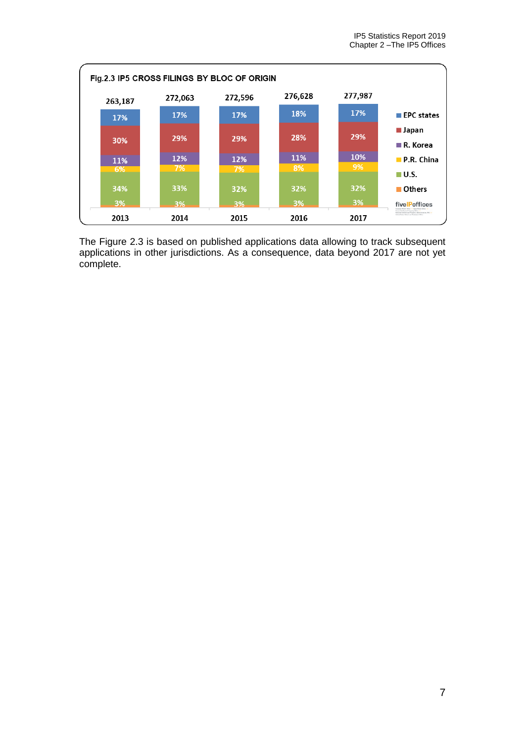

The Figure 2.3 is based on published applications data allowing to track subsequent applications in other jurisdictions. As a consequence, data beyond 2017 are not yet complete.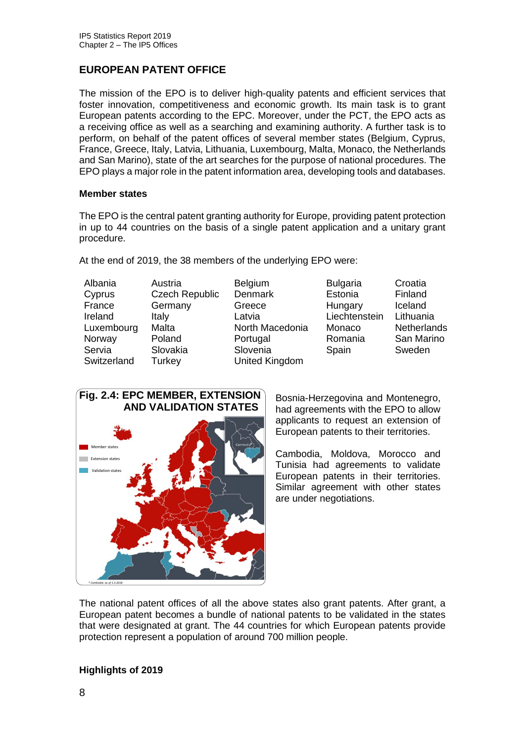# **EUROPEAN PATENT OFFICE**

The mission of the EPO is to deliver high-quality patents and efficient services that foster innovation, competitiveness and economic growth. Its main task is to grant European patents according to the EPC. Moreover, under the PCT, the EPO acts as a receiving office as well as a searching and examining authority. A further task is to perform, on behalf of the patent offices of several member states (Belgium, Cyprus, France, Greece, Italy, Latvia, Lithuania, Luxembourg, Malta, Monaco, the Netherlands and San Marino), state of the art searches for the purpose of national procedures. The EPO plays a major role in the patent information area, developing tools and databases.

#### **Member states**

The EPO is the central patent granting authority for Europe, providing patent protection in up to 44 countries on the basis of a single patent application and a unitary grant procedure.

At the end of 2019, the 38 members of the underlying EPO were:

- 
- 
- Albania Austria Belgium Bulgaria Croatia Cyprus Czech Republic Denmark Estonia Finland France Germany Greece Hungary Iceland Ireland Italy Latvia Liechtenstein Lithuania Luxembourg Malta North Macedonia Monaco Netherlands Norway Poland Portugal Romania San Marino Servia Slovakia Slovenia Spain Sweden Switzerland Turkey United Kingdom



Bosnia-Herzegovina and Montenegro, had agreements with the EPO to allow applicants to request an extension of European patents to their territories.

Cambodia, Moldova, Morocco and Tunisia had agreements to validate European patents in their territories. Similar agreement with other states are under negotiations.

The national patent offices of all the above states also grant patents. After grant, a European patent becomes a bundle of national patents to be validated in the states that were designated at grant. The 44 countries for which European patents provide protection represent a population of around 700 million people.

#### **Highlights of 2019**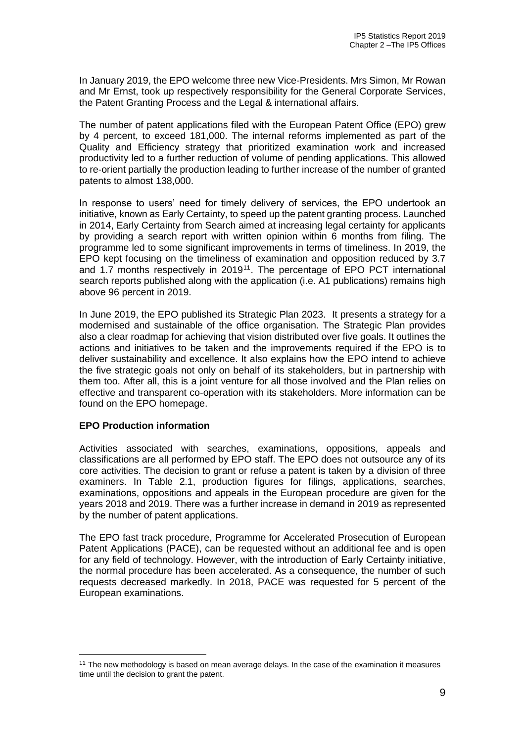In January 2019, the EPO welcome three new Vice-Presidents. Mrs Simon, Mr Rowan and Mr Ernst, took up respectively responsibility for the General Corporate Services, the Patent Granting Process and the Legal & international affairs.

The number of patent applications filed with the European Patent Office (EPO) grew by 4 percent, to exceed 181,000. The internal reforms implemented as part of the Quality and Efficiency strategy that prioritized examination work and increased productivity led to a further reduction of volume of pending applications. This allowed to re-orient partially the production leading to further increase of the number of granted patents to almost 138,000.

In response to users' need for timely delivery of services, the EPO undertook an initiative, known as Early Certainty, to speed up the patent granting process. Launched in 2014, Early Certainty from Search aimed at increasing legal certainty for applicants by providing a search report with written opinion within 6 months from filing. The programme led to some significant improvements in terms of timeliness. In 2019, the EPO kept focusing on the timeliness of examination and opposition reduced by 3.7 and 1.7 months respectively in 2019<sup>11</sup>. The percentage of EPO PCT international search reports published along with the application (i.e. A1 publications) remains high above 96 percent in 2019.

In June 2019, the EPO published its Strategic Plan 2023. It presents a strategy for a modernised and sustainable of the office organisation. The Strategic Plan provides also a clear roadmap for achieving that vision distributed over five goals. It outlines the actions and initiatives to be taken and the improvements required if the EPO is to deliver sustainability and excellence. It also explains how the EPO intend to achieve the five strategic goals not only on behalf of its stakeholders, but in partnership with them too. After all, this is a joint venture for all those involved and the Plan relies on effective and transparent co-operation with its stakeholders. More information can be found on the EPO homepage.

#### **EPO Production information**

Activities associated with searches, examinations, oppositions, appeals and classifications are all performed by EPO staff. The EPO does not outsource any of its core activities. The decision to grant or refuse a patent is taken by a division of three examiners. In Table 2.1, production figures for filings, applications, searches, examinations, oppositions and appeals in the European procedure are given for the years 2018 and 2019. There was a further increase in demand in 2019 as represented by the number of patent applications.

The EPO fast track procedure, Programme for Accelerated Prosecution of European Patent Applications (PACE), can be requested without an additional fee and is open for any field of technology. However, with the introduction of Early Certainty initiative, the normal procedure has been accelerated. As a consequence, the number of such requests decreased markedly. In 2018, PACE was requested for 5 percent of the European examinations.

<sup>&</sup>lt;sup>11</sup> The new methodology is based on mean average delays. In the case of the examination it measures time until the decision to grant the patent.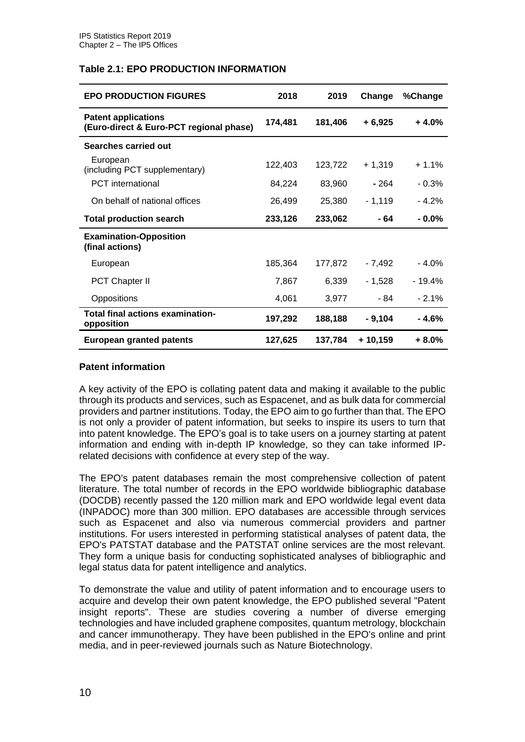## **Table 2.1: EPO PRODUCTION INFORMATION**

| <b>EPO PRODUCTION FIGURES</b>                                         | 2018    | 2019    | Change   | %Change  |
|-----------------------------------------------------------------------|---------|---------|----------|----------|
| <b>Patent applications</b><br>(Euro-direct & Euro-PCT regional phase) | 174,481 | 181,406 | $+6,925$ | $+4.0%$  |
| Searches carried out                                                  |         |         |          |          |
| European<br>(including PCT supplementary)                             | 122,403 | 123,722 | $+1,319$ | $+1.1%$  |
| <b>PCT</b> international                                              | 84,224  | 83,960  | $-264$   | $-0.3%$  |
| On behalf of national offices                                         | 26,499  | 25,380  | $-1,119$ | $-4.2%$  |
| <b>Total production search</b>                                        | 233,126 | 233,062 | - 64     | $-0.0\%$ |
| <b>Examination-Opposition</b><br>(final actions)                      |         |         |          |          |
| European                                                              | 185,364 | 177,872 | - 7,492  | $-4.0%$  |
| <b>PCT Chapter II</b>                                                 | 7,867   | 6,339   | - 1,528  | $-19.4%$ |
| Oppositions                                                           | 4,061   | 3,977   | - 84     | $-2.1%$  |
| Total final actions examination-<br>opposition                        | 197,292 | 188,188 | - 9,104  | - 4.6%   |
| European granted patents                                              | 127,625 | 137,784 | + 10,159 | $+8.0%$  |

#### **Patent information**

A key activity of the EPO is collating patent data and making it available to the public through its products and services, such as Espacenet, and as bulk data for commercial providers and partner institutions. Today, the EPO aim to go further than that. The EPO is not only a provider of patent information, but seeks to inspire its users to turn that into patent knowledge. The EPO's goal is to take users on a journey starting at patent information and ending with in-depth IP knowledge, so they can take informed IPrelated decisions with confidence at every step of the way.

The EPO's patent databases remain the most comprehensive collection of patent literature. The total number of records in the EPO worldwide bibliographic database (DOCDB) recently passed the 120 million mark and EPO worldwide legal event data (INPADOC) more than 300 million. EPO databases are accessible through services such as Espacenet and also via numerous commercial providers and partner institutions. For users interested in performing statistical analyses of patent data, the EPO's PATSTAT database and the PATSTAT online services are the most relevant. They form a unique basis for conducting sophisticated analyses of bibliographic and legal status data for patent intelligence and analytics.

To demonstrate the value and utility of patent information and to encourage users to acquire and develop their own patent knowledge, the EPO published several "Patent insight reports". These are studies covering a number of diverse emerging technologies and have included graphene composites, quantum metrology, blockchain and cancer immunotherapy. They have been published in the EPO's online and print media, and in peer-reviewed journals such as Nature Biotechnology.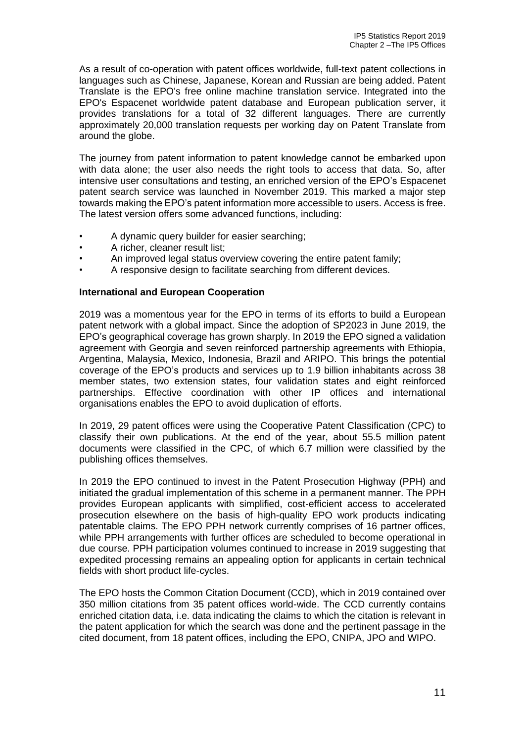As a result of co-operation with patent offices worldwide, full-text patent collections in languages such as Chinese, Japanese, Korean and Russian are being added. Patent Translate is the EPO's free online machine translation service. Integrated into the EPO's Espacenet worldwide patent database and European publication server, it provides translations for a total of 32 different languages. There are currently approximately 20,000 translation requests per working day on Patent Translate from around the globe.

The journey from patent information to patent knowledge cannot be embarked upon with data alone; the user also needs the right tools to access that data. So, after intensive user consultations and testing, an enriched version of the EPO's Espacenet patent search service was launched in November 2019. This marked a major step towards making the EPO's patent information more accessible to users. Access is free. The latest version offers some advanced functions, including:

- A dynamic query builder for easier searching;
- A richer, cleaner result list;
- An improved legal status overview covering the entire patent family;
- A responsive design to facilitate searching from different devices.

#### **International and European Cooperation**

2019 was a momentous year for the EPO in terms of its efforts to build a European patent network with a global impact. Since the adoption of SP2023 in June 2019, the EPO's geographical coverage has grown sharply. In 2019 the EPO signed a validation agreement with Georgia and seven reinforced partnership agreements with Ethiopia, Argentina, Malaysia, Mexico, Indonesia, Brazil and ARIPO. This brings the potential coverage of the EPO's products and services up to 1.9 billion inhabitants across 38 member states, two extension states, four validation states and eight reinforced partnerships. Effective coordination with other IP offices and international organisations enables the EPO to avoid duplication of efforts.

In 2019, 29 patent offices were using the Cooperative Patent Classification (CPC) to classify their own publications. At the end of the year, about 55.5 million patent documents were classified in the CPC, of which 6.7 million were classified by the publishing offices themselves.

In 2019 the EPO continued to invest in the Patent Prosecution Highway (PPH) and initiated the gradual implementation of this scheme in a permanent manner. The PPH provides European applicants with simplified, cost-efficient access to accelerated prosecution elsewhere on the basis of high-quality EPO work products indicating patentable claims. The EPO PPH network currently comprises of 16 partner offices, while PPH arrangements with further offices are scheduled to become operational in due course. PPH participation volumes continued to increase in 2019 suggesting that expedited processing remains an appealing option for applicants in certain technical fields with short product life-cycles.

The EPO hosts the Common Citation Document (CCD), which in 2019 contained over 350 million citations from 35 patent offices world-wide. The CCD currently contains enriched citation data, i.e. data indicating the claims to which the citation is relevant in the patent application for which the search was done and the pertinent passage in the cited document, from 18 patent offices, including the EPO, CNIPA, JPO and WIPO.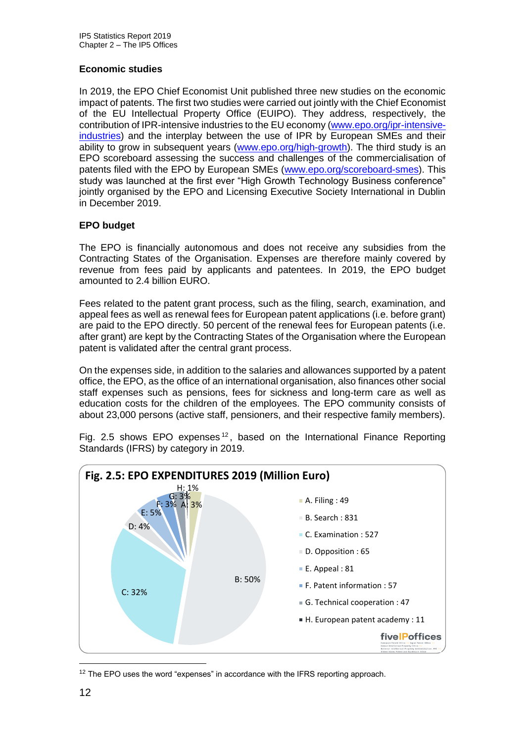# **Economic studies**

In 2019, the EPO Chief Economist Unit published three new studies on the economic impact of patents. The first two studies were carried out jointly with the Chief Economist of the EU Intellectual Property Office (EUIPO). They address, respectively, the contribution of IPR-intensive industries to the EU economy [\(www.epo.org/ipr-intensive](file:///C:/Users/crop7/Documents/国际合作/文件交换2020/IP5%20report/IP5%20SR%202019/www.epo.org/ipr-intensive-industries)[industries\)](file:///C:/Users/crop7/Documents/国际合作/文件交换2020/IP5%20report/IP5%20SR%202019/www.epo.org/ipr-intensive-industries) and the interplay between the use of IPR by European SMEs and their ability to grow in subsequent years (www[.epo.org/high-growth\)](http://www.epo.org/sdv). The third study is an EPO scoreboard assessing the success and challenges of the commercialisation of patents filed with the EPO by European SMEs (www[.epo.org/scoreboard-smes\)](http://www.epo.org/sdv). This study was launched at the first ever "High Growth Technology Business conference" jointly organised by the EPO and Licensing Executive Society International in Dublin in December 2019.

# **EPO budget**

The EPO is financially autonomous and does not receive any subsidies from the Contracting States of the Organisation. Expenses are therefore mainly covered by revenue from fees paid by applicants and patentees. In 2019, the EPO budget amounted to 2.4 billion EURO.

Fees related to the patent grant process, such as the filing, search, examination, and appeal fees as well as renewal fees for European patent applications (i.e. before grant) are paid to the EPO directly. 50 percent of the renewal fees for European patents (i.e. after grant) are kept by the Contracting States of the Organisation where the European patent is validated after the central grant process.

On the expenses side, in addition to the salaries and allowances supported by a patent office, the EPO, as the office of an international organisation, also finances other social staff expenses such as pensions, fees for sickness and long-term care as well as education costs for the children of the employees. The EPO community consists of about 23,000 persons (active staff, pensioners, and their respective family members).

Fig. 2.5 shows EPO expenses<sup>12</sup>, based on the International Finance Reporting Standards (IFRS) by category in 2019.



<sup>12</sup> The EPO uses the word "expenses" in accordance with the IFRS reporting approach.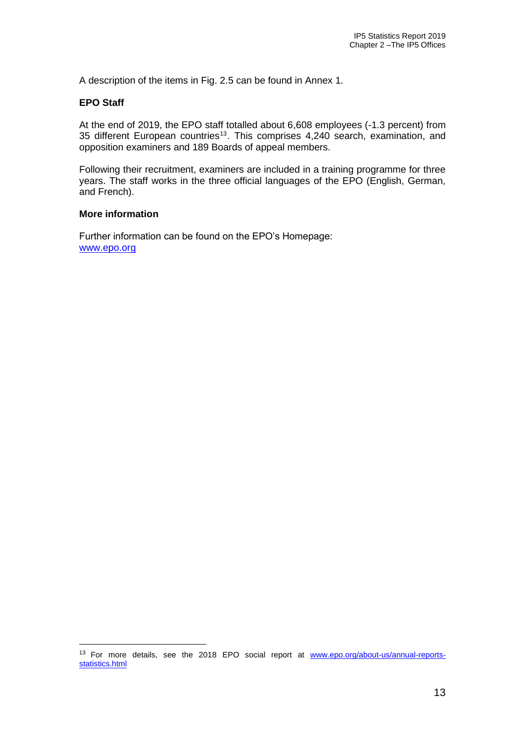A description of the items in Fig. 2.5 can be found in Annex 1.

#### **EPO Staff**

At the end of 2019, the EPO staff totalled about 6,608 employees (-1.3 percent) from 35 different European countries<sup>13</sup>. This comprises 4,240 search, examination, and opposition examiners and 189 Boards of appeal members.

Following their recruitment, examiners are included in a training programme for three years. The staff works in the three official languages of the EPO (English, German, and French).

#### **More information**

Further information can be found on the EPO's Homepage: [www.epo.org](file:///C:/Users/crop7/Documents/国际合作/文件交换2020/IP5%20report/IP5%20SR%202019/www.epo.org)

<sup>&</sup>lt;sup>13</sup> For more details, see the 2018 EPO social report at [www.epo.org/about-us/annual-reports](file:///C:/Users/crop7/Documents/国际合作/文件交换2020/IP5%20report/IP5%20SR%202019/www.epo.org/about-us/annual-reports-statistics.html)[statistics.html](file:///C:/Users/crop7/Documents/国际合作/文件交换2020/IP5%20report/IP5%20SR%202019/www.epo.org/about-us/annual-reports-statistics.html)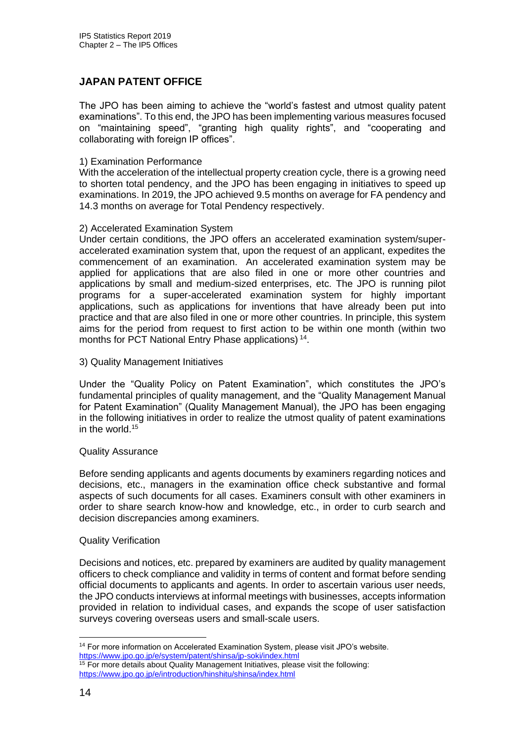# **JAPAN PATENT OFFICE**

The JPO has been aiming to achieve the "world's fastest and utmost quality patent examinations". To this end, the JPO has been implementing various measures focused on "maintaining speed", "granting high quality rights", and "cooperating and collaborating with foreign IP offices".

#### 1) Examination Performance

With the acceleration of the intellectual property creation cycle, there is a growing need to shorten total pendency, and the JPO has been engaging in initiatives to speed up examinations. In 2019, the JPO achieved 9.5 months on average for FA pendency and 14.3 months on average for Total Pendency respectively.

#### 2) Accelerated Examination System

Under certain conditions, the JPO offers an accelerated examination system/superaccelerated examination system that, upon the request of an applicant, expedites the commencement of an examination. An accelerated examination system may be applied for applications that are also filed in one or more other countries and applications by small and medium-sized enterprises, etc. The JPO is running pilot programs for a super-accelerated examination system for highly important applications, such as applications for inventions that have already been put into practice and that are also filed in one or more other countries. In principle, this system aims for the period from request to first action to be within one month (within two months for PCT National Entry Phase applications)<sup>14</sup>.

3) Quality Management Initiatives

Under the "Quality Policy on Patent Examination", which constitutes the JPO's fundamental principles of quality management, and the "Quality Management Manual for Patent Examination" (Quality Management Manual), the JPO has been engaging in the following initiatives in order to realize the utmost quality of patent examinations in the world. $15$ 

#### Quality Assurance

Before sending applicants and agents documents by examiners regarding notices and decisions, etc., managers in the examination office check substantive and formal aspects of such documents for all cases. Examiners consult with other examiners in order to share search know-how and knowledge, etc., in order to curb search and decision discrepancies among examiners.

#### Quality Verification

Decisions and notices, etc. prepared by examiners are audited by quality management officers to check compliance and validity in terms of content and format before sending official documents to applicants and agents. In order to ascertain various user needs, the JPO conducts interviews at informal meetings with businesses, accepts information provided in relation to individual cases, and expands the scope of user satisfaction surveys covering overseas users and small-scale users.

<sup>&</sup>lt;sup>14</sup> For more information on Accelerated Examination System, please visit JPO's website. <https://www.jpo.go.jp/e/system/patent/shinsa/jp-soki/index.html>

 $15$  For more details about Quality Management Initiatives, please visit the following: <https://www.jpo.go.jp/e/introduction/hinshitu/shinsa/index.html>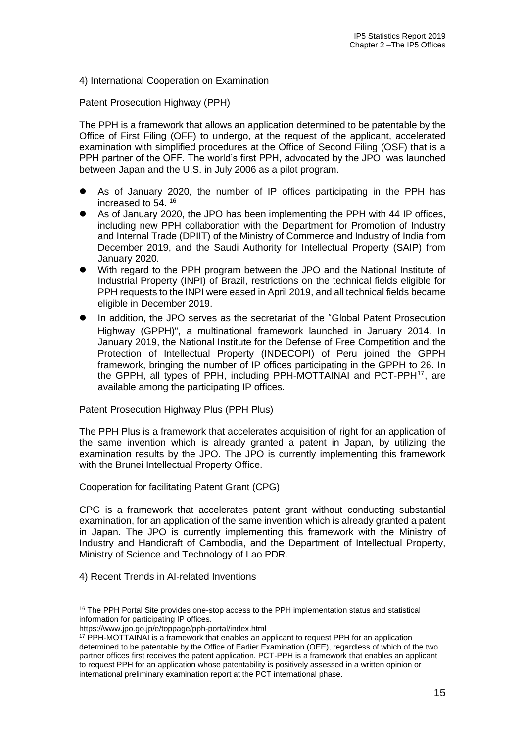# 4) International Cooperation on Examination

Patent Prosecution Highway (PPH)

The PPH is a framework that allows an application determined to be patentable by the Office of First Filing (OFF) to undergo, at the request of the applicant, accelerated examination with simplified procedures at the Office of Second Filing (OSF) that is a PPH partner of the OFF. The world's first PPH, advocated by the JPO, was launched between Japan and the U.S. in July 2006 as a pilot program.

- ⚫ As of January 2020, the number of IP offices participating in the PPH has increased to 54. <sup>16</sup>
- As of January 2020, the JPO has been implementing the PPH with 44 IP offices, including new PPH collaboration with the Department for Promotion of Industry and Internal Trade (DPIIT) of the Ministry of Commerce and Industry of India from December 2019, and the Saudi Authority for Intellectual Property (SAIP) from January 2020.
- With regard to the PPH program between the JPO and the National Institute of Industrial Property (INPI) of Brazil, restrictions on the technical fields eligible for PPH requests to the INPI were eased in April 2019, and all technical fields became eligible in December 2019.
- ⚫ In addition, the JPO serves as the secretariat of the "Global Patent Prosecution Highway (GPPH)", a multinational framework launched in January 2014. In January 2019, the National Institute for the Defense of Free Competition and the Protection of Intellectual Property (INDECOPI) of Peru joined the GPPH framework, bringing the number of IP offices participating in the GPPH to 26. In the GPPH, all types of PPH, including PPH-MOTTAINAI and PCT-PPH<sup>17</sup>, are available among the participating IP offices.

Patent Prosecution Highway Plus (PPH Plus)

The PPH Plus is a framework that accelerates acquisition of right for an application of the same invention which is already granted a patent in Japan, by utilizing the examination results by the JPO. The JPO is currently implementing this framework with the Brunei Intellectual Property Office.

Cooperation for facilitating Patent Grant (CPG)

CPG is a framework that accelerates patent grant without conducting substantial examination, for an application of the same invention which is already granted a patent in Japan. The JPO is currently implementing this framework with the Ministry of Industry and Handicraft of Cambodia, and the Department of Intellectual Property, Ministry of Science and Technology of Lao PDR.

4) Recent Trends in AI-related Inventions

<sup>&</sup>lt;sup>16</sup> The PPH Portal Site provides one-stop access to the PPH implementation status and statistical information for participating IP offices.

https://www.jpo.go.jp/e/toppage/pph-portal/index.html

<sup>&</sup>lt;sup>17</sup> PPH-MOTTAINAI is a framework that enables an applicant to request PPH for an application determined to be patentable by the Office of Earlier Examination (OEE), regardless of which of the two partner offices first receives the patent application. PCT-PPH is a framework that enables an applicant to request PPH for an application whose patentability is positively assessed in a written opinion or international preliminary examination report at the PCT international phase.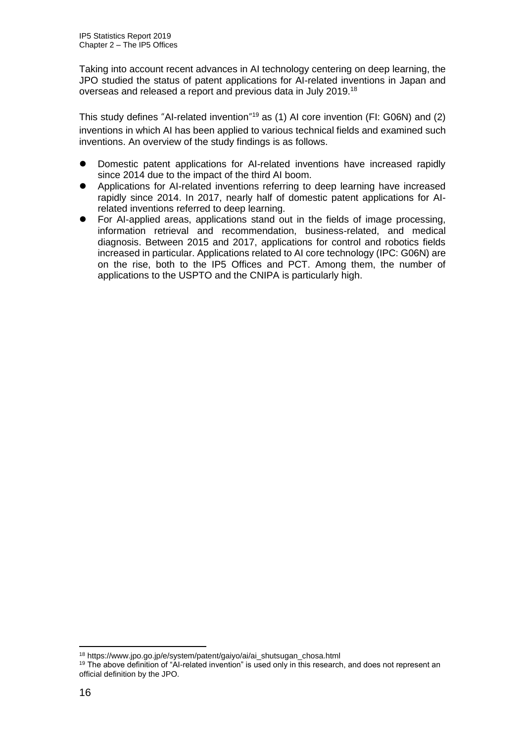Taking into account recent advances in AI technology centering on deep learning, the JPO studied the status of patent applications for AI-related inventions in Japan and overseas and released a report and previous data in July 2019.<sup>18</sup>

This study defines "AI-related invention"<sup>19</sup> as (1) AI core invention (FI: G06N) and (2) inventions in which AI has been applied to various technical fields and examined such inventions. An overview of the study findings is as follows.

- ⚫ Domestic patent applications for AI-related inventions have increased rapidly since 2014 due to the impact of the third AI boom.
- ⚫ Applications for AI-related inventions referring to deep learning have increased rapidly since 2014. In 2017, nearly half of domestic patent applications for AIrelated inventions referred to deep learning.
- ⚫ For AI-applied areas, applications stand out in the fields of image processing, information retrieval and recommendation, business-related, and medical diagnosis. Between 2015 and 2017, applications for control and robotics fields increased in particular. Applications related to AI core technology (IPC: G06N) are on the rise, both to the IP5 Offices and PCT. Among them, the number of applications to the USPTO and the CNIPA is particularly high.

<sup>18</sup> https://www.jpo.go.jp/e/system/patent/gaiyo/ai/ai\_shutsugan\_chosa.html

<sup>&</sup>lt;sup>19</sup> The above definition of "AI-related invention" is used only in this research, and does not represent an official definition by the JPO.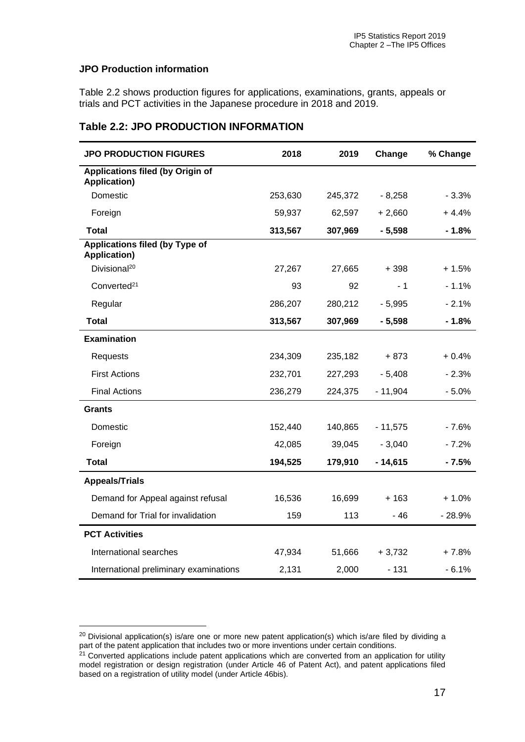#### **JPO Production information**

Table 2.2 shows production figures for applications, examinations, grants, appeals or trials and PCT activities in the Japanese procedure in 2018 and 2019.

# **Table 2.2: JPO PRODUCTION INFORMATION**

| <b>JPO PRODUCTION FIGURES</b>                                  | 2018    | 2019    | Change    | % Change |
|----------------------------------------------------------------|---------|---------|-----------|----------|
| <b>Applications filed (by Origin of</b><br><b>Application)</b> |         |         |           |          |
| Domestic                                                       | 253,630 | 245,372 | $-8,258$  | $-3.3%$  |
| Foreign                                                        | 59,937  | 62,597  | $+2,660$  | $+4.4%$  |
| <b>Total</b>                                                   | 313,567 | 307,969 | $-5,598$  | $-1.8%$  |
| <b>Applications filed (by Type of</b><br><b>Application)</b>   |         |         |           |          |
| Divisional <sup>20</sup>                                       | 27,267  | 27,665  | + 398     | $+1.5%$  |
| Converted <sup>21</sup>                                        | 93      | 92      | - 1       | $-1.1%$  |
| Regular                                                        | 286,207 | 280,212 | $-5,995$  | $-2.1%$  |
| <b>Total</b>                                                   | 313,567 | 307,969 | $-5,598$  | $-1.8%$  |
| <b>Examination</b>                                             |         |         |           |          |
| <b>Requests</b>                                                | 234,309 | 235,182 | $+873$    | $+0.4%$  |
| <b>First Actions</b>                                           | 232,701 | 227,293 | $-5,408$  | $-2.3%$  |
| <b>Final Actions</b>                                           | 236,279 | 224,375 | $-11,904$ | $-5.0%$  |
| <b>Grants</b>                                                  |         |         |           |          |
| Domestic                                                       | 152,440 | 140,865 | $-11,575$ | $-7.6%$  |
| Foreign                                                        | 42,085  | 39,045  | $-3,040$  | $-7.2%$  |
| <b>Total</b>                                                   | 194,525 | 179,910 | $-14,615$ | $-7.5%$  |
| <b>Appeals/Trials</b>                                          |         |         |           |          |
| Demand for Appeal against refusal                              | 16,536  | 16,699  | + 163     | $+1.0%$  |
| Demand for Trial for invalidation                              | 159     | 113     | - 46      | $-28.9%$ |
| <b>PCT Activities</b>                                          |         |         |           |          |
| International searches                                         | 47,934  | 51,666  | $+3,732$  | $+7.8%$  |
| International preliminary examinations                         | 2,131   | 2,000   | $-131$    | $-6.1%$  |

<sup>&</sup>lt;sup>20</sup> Divisional application(s) is/are one or more new patent application(s) which is/are filed by dividing a part of the patent application that includes two or more inventions under certain conditions.

<sup>&</sup>lt;sup>21</sup> Converted applications include patent applications which are converted from an application for utility model registration or design registration (under Article 46 of Patent Act), and patent applications filed based on a registration of utility model (under Article 46bis).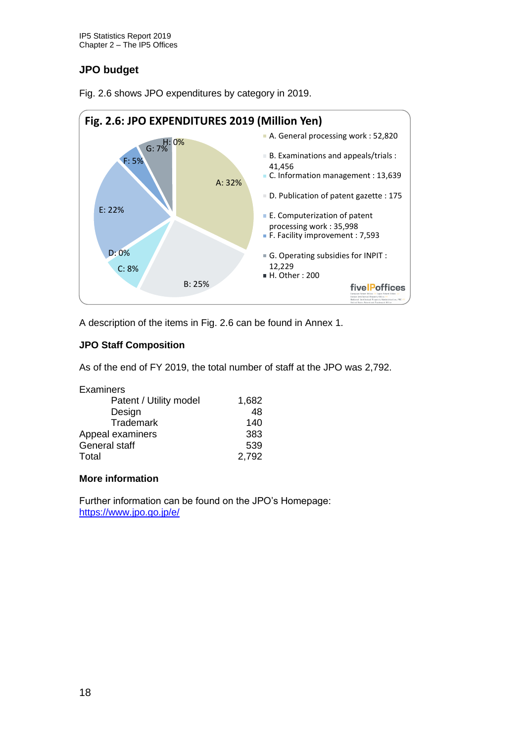# **JPO budget**



Fig. 2.6 shows JPO expenditures by category in 2019.

A description of the items in Fig. 2.6 can be found in Annex 1.

# **JPO Staff Composition**

As of the end of FY 2019, the total number of staff at the JPO was 2,792.

| 1,682 |
|-------|
| 48    |
| 140   |
| 383   |
| 539   |
| 2,792 |
|       |

# **More information**

Further information can be found on the JPO's Homepage: <https://www.jpo.go.jp/e/>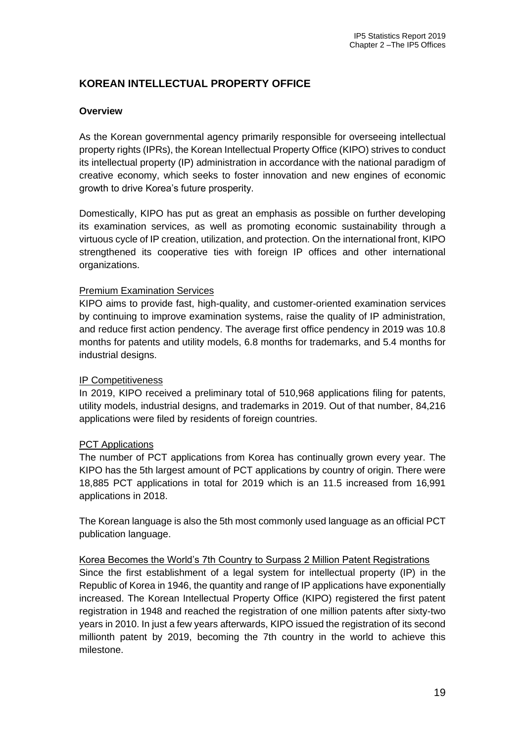# **KOREAN INTELLECTUAL PROPERTY OFFICE**

# **Overview**

As the Korean governmental agency primarily responsible for overseeing intellectual property rights (IPRs), the Korean Intellectual Property Office (KIPO) strives to conduct its intellectual property (IP) administration in accordance with the national paradigm of creative economy, which seeks to foster innovation and new engines of economic growth to drive Korea's future prosperity.

Domestically, KIPO has put as great an emphasis as possible on further developing its examination services, as well as promoting economic sustainability through a virtuous cycle of IP creation, utilization, and protection. On the international front, KIPO strengthened its cooperative ties with foreign IP offices and other international organizations.

# Premium Examination Services

KIPO aims to provide fast, high-quality, and customer-oriented examination services by continuing to improve examination systems, raise the quality of IP administration, and reduce first action pendency. The average first office pendency in 2019 was 10.8 months for patents and utility models, 6.8 months for trademarks, and 5.4 months for industrial designs.

#### IP Competitiveness

In 2019, KIPO received a preliminary total of 510,968 applications filing for patents, utility models, industrial designs, and trademarks in 2019. Out of that number, 84,216 applications were filed by residents of foreign countries.

#### PCT Applications

The number of PCT applications from Korea has continually grown every year. The KIPO has the 5th largest amount of PCT applications by country of origin. There were 18,885 PCT applications in total for 2019 which is an 11.5 increased from 16,991 applications in 2018.

The Korean language is also the 5th most commonly used language as an official PCT publication language.

#### Korea Becomes the World's 7th Country to Surpass 2 Million Patent Registrations

Since the first establishment of a legal system for intellectual property (IP) in the Republic of Korea in 1946, the quantity and range of IP applications have exponentially increased. The Korean Intellectual Property Office (KIPO) registered the first patent registration in 1948 and reached the registration of one million patents after sixty-two years in 2010. In just a few years afterwards, KIPO issued the registration of its second millionth patent by 2019, becoming the 7th country in the world to achieve this milestone.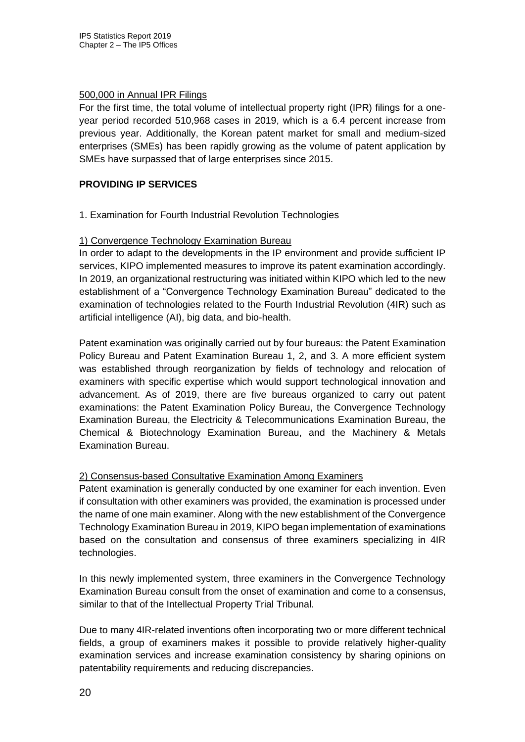# 500,000 in Annual IPR Filings

For the first time, the total volume of intellectual property right (IPR) filings for a oneyear period recorded 510,968 cases in 2019, which is a 6.4 percent increase from previous year. Additionally, the Korean patent market for small and medium-sized enterprises (SMEs) has been rapidly growing as the volume of patent application by SMEs have surpassed that of large enterprises since 2015.

# **PROVIDING IP SERVICES**

1. Examination for Fourth Industrial Revolution Technologies

# 1) Convergence Technology Examination Bureau

In order to adapt to the developments in the IP environment and provide sufficient IP services, KIPO implemented measures to improve its patent examination accordingly. In 2019, an organizational restructuring was initiated within KIPO which led to the new establishment of a "Convergence Technology Examination Bureau" dedicated to the examination of technologies related to the Fourth Industrial Revolution (4IR) such as artificial intelligence (AI), big data, and bio-health.

Patent examination was originally carried out by four bureaus: the Patent Examination Policy Bureau and Patent Examination Bureau 1, 2, and 3. A more efficient system was established through reorganization by fields of technology and relocation of examiners with specific expertise which would support technological innovation and advancement. As of 2019, there are five bureaus organized to carry out patent examinations: the Patent Examination Policy Bureau, the Convergence Technology Examination Bureau, the Electricity & Telecommunications Examination Bureau, the Chemical & Biotechnology Examination Bureau, and the Machinery & Metals Examination Bureau.

# 2) Consensus-based Consultative Examination Among Examiners

Patent examination is generally conducted by one examiner for each invention. Even if consultation with other examiners was provided, the examination is processed under the name of one main examiner. Along with the new establishment of the Convergence Technology Examination Bureau in 2019, KIPO began implementation of examinations based on the consultation and consensus of three examiners specializing in 4IR technologies.

In this newly implemented system, three examiners in the Convergence Technology Examination Bureau consult from the onset of examination and come to a consensus, similar to that of the Intellectual Property Trial Tribunal.

Due to many 4IR-related inventions often incorporating two or more different technical fields, a group of examiners makes it possible to provide relatively higher-quality examination services and increase examination consistency by sharing opinions on patentability requirements and reducing discrepancies.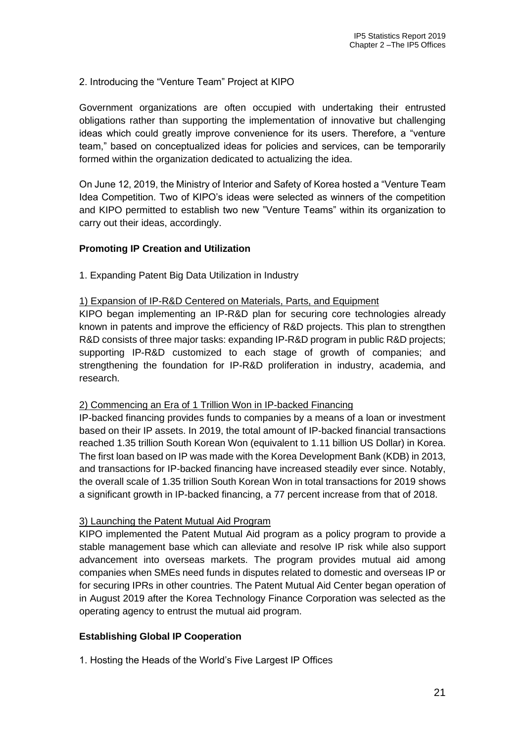# 2. Introducing the "Venture Team" Project at KIPO

Government organizations are often occupied with undertaking their entrusted obligations rather than supporting the implementation of innovative but challenging ideas which could greatly improve convenience for its users. Therefore, a "venture team," based on conceptualized ideas for policies and services, can be temporarily formed within the organization dedicated to actualizing the idea.

On June 12, 2019, the Ministry of Interior and Safety of Korea hosted a "Venture Team Idea Competition. Two of KIPO's ideas were selected as winners of the competition and KIPO permitted to establish two new "Venture Teams" within its organization to carry out their ideas, accordingly.

#### **Promoting IP Creation and Utilization**

1. Expanding Patent Big Data Utilization in Industry

#### 1) Expansion of IP-R&D Centered on Materials, Parts, and Equipment

KIPO began implementing an IP-R&D plan for securing core technologies already known in patents and improve the efficiency of R&D projects. This plan to strengthen R&D consists of three major tasks: expanding IP-R&D program in public R&D projects; supporting IP-R&D customized to each stage of growth of companies; and strengthening the foundation for IP-R&D proliferation in industry, academia, and research.

#### 2) Commencing an Era of 1 Trillion Won in IP-backed Financing

IP-backed financing provides funds to companies by a means of a loan or investment based on their IP assets. In 2019, the total amount of IP-backed financial transactions reached 1.35 trillion South Korean Won (equivalent to 1.11 billion US Dollar) in Korea. The first loan based on IP was made with the Korea Development Bank (KDB) in 2013, and transactions for IP-backed financing have increased steadily ever since. Notably, the overall scale of 1.35 trillion South Korean Won in total transactions for 2019 shows a significant growth in IP-backed financing, a 77 percent increase from that of 2018.

#### 3) Launching the Patent Mutual Aid Program

KIPO implemented the Patent Mutual Aid program as a policy program to provide a stable management base which can alleviate and resolve IP risk while also support advancement into overseas markets. The program provides mutual aid among companies when SMEs need funds in disputes related to domestic and overseas IP or for securing IPRs in other countries. The Patent Mutual Aid Center began operation of in August 2019 after the Korea Technology Finance Corporation was selected as the operating agency to entrust the mutual aid program.

# **Establishing Global IP Cooperation**

1. Hosting the Heads of the World's Five Largest IP Offices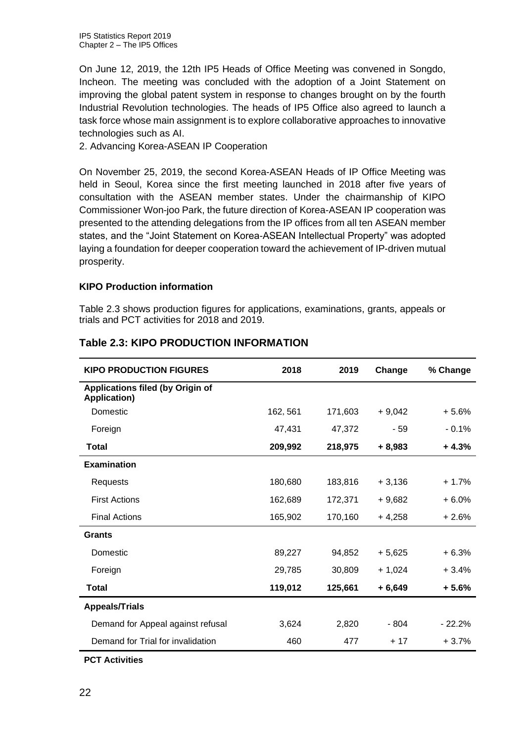IP5 Statistics Report 2019 Chapter 2 – The IP5 Offices

On June 12, 2019, the 12th IP5 Heads of Office Meeting was convened in Songdo, Incheon. The meeting was concluded with the adoption of a Joint Statement on improving the global patent system in response to changes brought on by the fourth Industrial Revolution technologies. The heads of IP5 Office also agreed to launch a task force whose main assignment is to explore collaborative approaches to innovative technologies such as AI.

2. Advancing Korea-ASEAN IP Cooperation

On November 25, 2019, the second Korea-ASEAN Heads of IP Office Meeting was held in Seoul, Korea since the first meeting launched in 2018 after five years of consultation with the ASEAN member states. Under the chairmanship of KIPO Commissioner Won-joo Park, the future direction of Korea-ASEAN IP cooperation was presented to the attending delegations from the IP offices from all ten ASEAN member states, and the "Joint Statement on Korea-ASEAN Intellectual Property" was adopted laying a foundation for deeper cooperation toward the achievement of IP-driven mutual prosperity.

#### **KIPO Production information**

Table 2.3 shows production figures for applications, examinations, grants, appeals or trials and PCT activities for 2018 and 2019.

| <b>KIPO PRODUCTION FIGURES</b>                                 | 2018     | 2019    | Change   | % Change |
|----------------------------------------------------------------|----------|---------|----------|----------|
| <b>Applications filed (by Origin of</b><br><b>Application)</b> |          |         |          |          |
| Domestic                                                       | 162, 561 | 171,603 | $+9,042$ | $+5.6%$  |
| Foreign                                                        | 47,431   | 47,372  | $-59$    | $-0.1%$  |
| Total                                                          | 209,992  | 218,975 | $+8,983$ | $+4.3%$  |
| <b>Examination</b>                                             |          |         |          |          |
| Requests                                                       | 180,680  | 183,816 | $+3,136$ | $+1.7%$  |
| <b>First Actions</b>                                           | 162,689  | 172,371 | $+9,682$ | $+6.0%$  |
| <b>Final Actions</b>                                           | 165,902  | 170,160 | $+4,258$ | $+2.6%$  |
| <b>Grants</b>                                                  |          |         |          |          |
| Domestic                                                       | 89,227   | 94,852  | + 5,625  | $+6.3%$  |
| Foreign                                                        | 29,785   | 30,809  | $+1,024$ | $+3.4%$  |
| <b>Total</b>                                                   | 119,012  | 125,661 | $+6,649$ | $+5.6%$  |
| <b>Appeals/Trials</b>                                          |          |         |          |          |
| Demand for Appeal against refusal                              | 3,624    | 2,820   | $-804$   | $-22.2%$ |
| Demand for Trial for invalidation                              | 460      | 477     | $+17$    | $+3.7%$  |

# **Table 2.3: KIPO PRODUCTION INFORMATION**

**PCT Activities**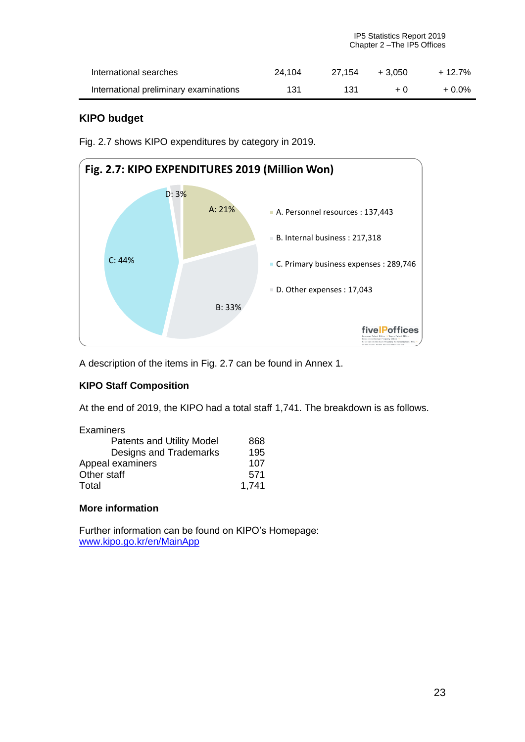| International searches                 | 24.104 |     | $27.154 + 3.050$ | + 12.7%  |
|----------------------------------------|--------|-----|------------------|----------|
| International preliminary examinations | 131    | 131 | $+0$             | $+0.0\%$ |

# **KIPO budget**

Fig. 2.7 shows KIPO expenditures by category in 2019.



A description of the items in Fig. 2.7 can be found in Annex 1.

# **KIPO Staff Composition**

At the end of 2019, the KIPO had a total staff 1,741. The breakdown is as follows.

| Examiners                        |       |
|----------------------------------|-------|
| <b>Patents and Utility Model</b> | 868   |
| Designs and Trademarks           | 195   |
| Appeal examiners                 | 107   |
| Other staff                      | 571   |
| Total                            | 1,741 |

#### **More information**

Further information can be found on KIPO's Homepage: [www.kipo.go.kr/en/MainApp](file:///C:/Users/crop7/Documents/国际合作/文件交换2020/IP5%20report/IP5%20SR%202019/www.kipo.go.kr/en/MainApp)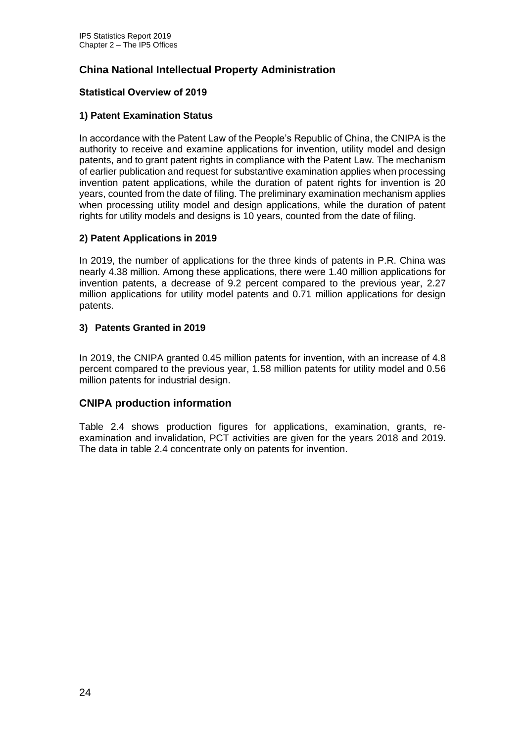# **China National Intellectual Property Administration**

# **Statistical Overview of 2019**

# **1) Patent Examination Status**

In accordance with the Patent Law of the People's Republic of China, the CNIPA is the authority to receive and examine applications for invention, utility model and design patents, and to grant patent rights in compliance with the Patent Law. The mechanism of earlier publication and request for substantive examination applies when processing invention patent applications, while the duration of patent rights for invention is 20 years, counted from the date of filing. The preliminary examination mechanism applies when processing utility model and design applications, while the duration of patent rights for utility models and designs is 10 years, counted from the date of filing.

# **2) Patent Applications in 2019**

In 2019, the number of applications for the three kinds of patents in P.R. China was nearly 4.38 million. Among these applications, there were 1.40 million applications for invention patents, a decrease of 9.2 percent compared to the previous year, 2.27 million applications for utility model patents and 0.71 million applications for design patents.

# **3) Patents Granted in 2019**

In 2019, the CNIPA granted 0.45 million patents for invention, with an increase of 4.8 percent compared to the previous year, 1.58 million patents for utility model and 0.56 million patents for industrial design.

# **CNIPA production information**

Table 2.4 shows production figures for applications, examination, grants, reexamination and invalidation, PCT activities are given for the years 2018 and 2019. The data in table 2.4 concentrate only on patents for invention.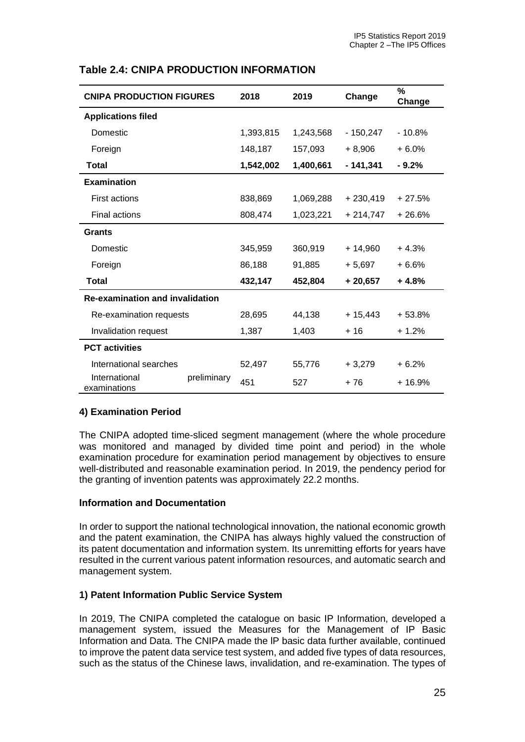| <b>CNIPA PRODUCTION FIGURES</b>        |             | 2018      | 2019      | Change     | %<br>Change |
|----------------------------------------|-------------|-----------|-----------|------------|-------------|
| <b>Applications filed</b>              |             |           |           |            |             |
| Domestic                               |             | 1,393,815 | 1,243,568 | - 150,247  | $-10.8%$    |
| Foreign                                |             | 148,187   | 157,093   | $+8,906$   | $+6.0%$     |
| Total                                  |             | 1,542,002 | 1,400,661 | $-141,341$ | $-9.2%$     |
| <b>Examination</b>                     |             |           |           |            |             |
| <b>First actions</b>                   |             | 838,869   | 1,069,288 | $+230,419$ | $+27.5%$    |
| Final actions                          |             | 808,474   | 1,023,221 | $+214,747$ | $+26.6%$    |
| <b>Grants</b>                          |             |           |           |            |             |
| Domestic                               |             | 345,959   | 360,919   | $+14,960$  | $+4.3%$     |
| Foreign                                |             | 86,188    | 91,885    | $+5,697$   | $+6.6%$     |
| <b>Total</b>                           |             | 432,147   | 452,804   | $+20,657$  | $+4.8%$     |
| <b>Re-examination and invalidation</b> |             |           |           |            |             |
| Re-examination requests                |             | 28,695    | 44,138    | $+15,443$  | $+53.8%$    |
| Invalidation request                   |             | 1,387     | 1,403     | + 16       | $+1.2%$     |
| <b>PCT</b> activities                  |             |           |           |            |             |
| International searches                 |             | 52,497    | 55,776    | $+3,279$   | $+6.2%$     |
| International<br>examinations          | preliminary | 451       | 527       | $+76$      | $+16.9%$    |

# **Table 2.4: CNIPA PRODUCTION INFORMATION**

# **4) Examination Period**

The CNIPA adopted time-sliced segment management (where the whole procedure was monitored and managed by divided time point and period) in the whole examination procedure for examination period management by objectives to ensure well-distributed and reasonable examination period. In 2019, the pendency period for the granting of invention patents was approximately 22.2 months.

#### **Information and Documentation**

In order to support the national technological innovation, the national economic growth and the patent examination, the CNIPA has always highly valued the construction of its patent documentation and information system. Its unremitting efforts for years have resulted in the current various patent information resources, and automatic search and management system.

#### **1) Patent Information Public Service System**

In 2019, The CNIPA completed the catalogue on basic IP Information, developed a management system, issued the Measures for the Management of IP Basic Information and Data. The CNIPA made the lP basic data further available, continued to improve the patent data service test system, and added five types of data resources, such as the status of the Chinese laws, invalidation, and re-examination. The types of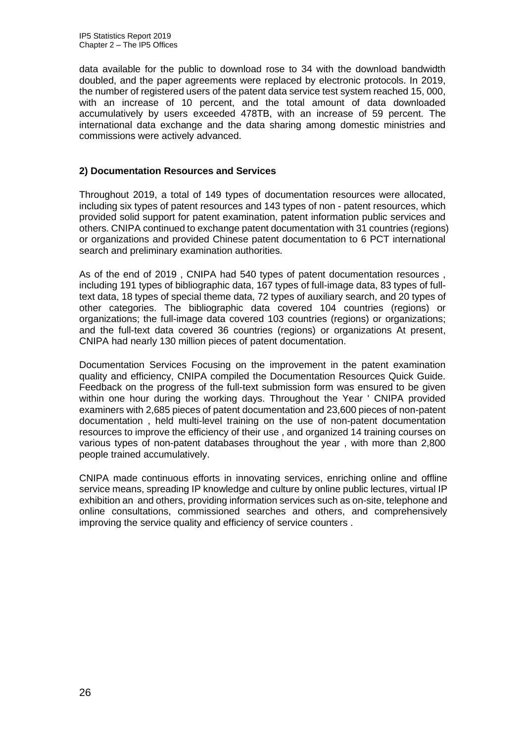data available for the public to download rose to 34 with the download bandwidth doubled, and the paper agreements were replaced by electronic protocols. In 2019, the number of registered users of the patent data service test system reached 15, 000, with an increase of 10 percent, and the total amount of data downloaded accumulatively by users exceeded 478TB, with an increase of 59 percent. The international data exchange and the data sharing among domestic ministries and commissions were actively advanced.

#### **2) Documentation Resources and Services**

Throughout 2019, a total of 149 types of documentation resources were allocated, including six types of patent resources and 143 types of non - patent resources, which provided solid support for patent examination, patent information public services and others. CNIPA continued to exchange patent documentation with 31 countries (regions) or organizations and provided Chinese patent documentation to 6 PCT international search and preliminary examination authorities.

As of the end of 2019 , CNIPA had 540 types of patent documentation resources , including 191 types of bibliographic data, 167 types of full-image data, 83 types of fulltext data, 18 types of special theme data, 72 types of auxiliary search, and 20 types of other categories. The bibliographic data covered 104 countries (regions) or organizations; the full-image data covered 103 countries (regions) or organizations; and the full-text data covered 36 countries (regions) or organizations At present, CNIPA had nearly 130 million pieces of patent documentation.

Documentation Services Focusing on the improvement in the patent examination quality and efficiency, CNIPA compiled the Documentation Resources Quick Guide. Feedback on the progress of the full-text submission form was ensured to be given within one hour during the working days. Throughout the Year ' CNIPA provided examiners with 2,685 pieces of patent documentation and 23,600 pieces of non-patent documentation , held multi-level training on the use of non-patent documentation resources to improve the efficiency of their use , and organized 14 training courses on various types of non-patent databases throughout the year , with more than 2,800 people trained accumulatively.

CNIPA made continuous efforts in innovating services, enriching online and offline service means, spreading IP knowledge and culture by online public lectures, virtual IP exhibition an and others, providing information services such as on-site, telephone and online consultations, commissioned searches and others, and comprehensively improving the service quality and efficiency of service counters .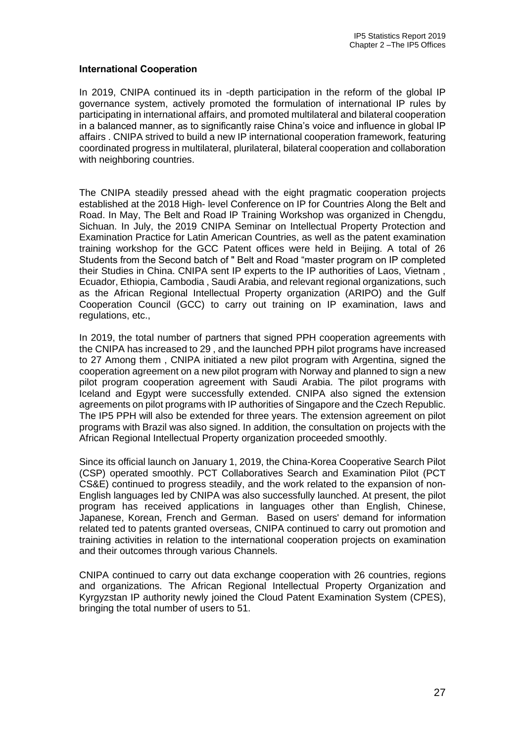#### **International Cooperation**

In 2019, CNIPA continued its in -depth participation in the reform of the global IP governance system, actively promoted the formulation of international IP rules by participating in international affairs, and promoted multilateral and bilateral cooperation in a balanced manner, as to significantly raise China's voice and influence in global IP affairs . CNIPA strived to build a new IP international cooperation framework, featuring coordinated progress in multilateral, plurilateral, bilateral cooperation and collaboration with neighboring countries.

The CNIPA steadily pressed ahead with the eight pragmatic cooperation projects established at the 2018 High- level Conference on IP for Countries Along the Belt and Road. In May, The Belt and Road lP Training Workshop was organized in Chengdu, Sichuan. In July, the 2019 CNIPA Seminar on Intellectual Property Protection and Examination Practice for Latin American Countries, as well as the patent examination training workshop for the GCC Patent offices were held in Beijing. A total of 26 Students from the Second batch of " Belt and Road "master program on IP completed their Studies in China. CNIPA sent IP experts to the IP authorities of Laos, Vietnam , Ecuador, Ethiopia, Cambodia , Saudi Arabia, and relevant regional organizations, such as the African Regional Intellectual Property organization (ARIPO) and the Gulf Cooperation Council (GCC) to carry out training on IP examination, Iaws and regulations, etc.,

In 2019, the total number of partners that signed PPH cooperation agreements with the CNIPA has increased to 29 , and the Iaunched PPH pilot programs have increased to 27 Among them , CNIPA initiated a new pilot program with Argentina, signed the cooperation agreement on a new pilot program with Norway and planned to sign a new pilot program cooperation agreement with Saudi Arabia. The pilot programs with Iceland and Egypt were successfully extended. CNIPA also signed the extension agreements on pilot programs with IP authorities of Singapore and the Czech Republic. The IP5 PPH will also be extended for three years. The extension agreement on pilot programs with Brazil was also signed. In addition, the consultation on projects with the African Regional Intellectual Property organization proceeded smoothly.

Since its official launch on January 1, 2019, the China-Korea Cooperative Search Pilot (CSP) operated smoothly. PCT Collaboratives Search and Examination Pilot (PCT CS&E) continued to progress steadily, and the work related to the expansion of non-English languages Ied by CNIPA was also successfully launched. At present, the pilot program has received applications in languages other than English, Chinese, Japanese, Korean, French and German. Based on users' demand for information related ted to patents granted overseas, CNIPA continued to carry out promotion and training activities in relation to the international cooperation projects on examination and their outcomes through various Channels.

CNIPA continued to carry out data exchange cooperation with 26 countries, regions and organizations. The African Regional Intellectual Property Organization and Kyrgyzstan IP authority newly joined the Cloud Patent Examination System (CPES), bringing the total number of users to 51.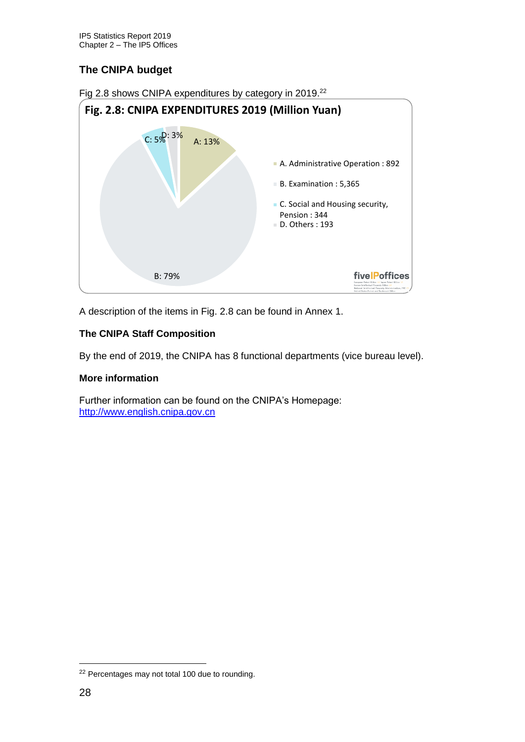# **The CNIPA budget**



A description of the items in Fig. 2.8 can be found in Annex 1.

# **The CNIPA Staff Composition**

By the end of 2019, the CNIPA has 8 functional departments (vice bureau level).

#### **More information**

Further information can be found on the CNIPA's Homepage: [http://www.english.cnipa.gov.cn](http://www.english.cnipa.gov.cn/)

<sup>22</sup> Percentages may not total 100 due to rounding.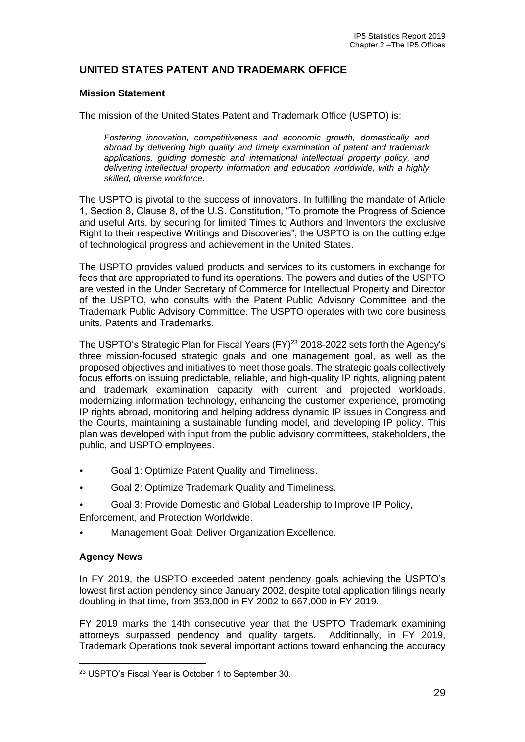# **UNITED STATES PATENT AND TRADEMARK OFFICE**

#### **Mission Statement**

The mission of the United States Patent and Trademark Office (USPTO) is:

*Fostering innovation, competitiveness and economic growth, domestically and abroad by delivering high quality and timely examination of patent and trademark applications, guiding domestic and international intellectual property policy, and delivering intellectual property information and education worldwide, with a highly skilled, diverse workforce.*

The USPTO is pivotal to the success of innovators. In fulfilling the mandate of Article 1, Section 8, Clause 8, of the U.S. Constitution, "To promote the Progress of Science and useful Arts, by securing for limited Times to Authors and Inventors the exclusive Right to their respective Writings and Discoveries", the USPTO is on the cutting edge of technological progress and achievement in the United States.

The USPTO provides valued products and services to its customers in exchange for fees that are appropriated to fund its operations. The powers and duties of the USPTO are vested in the Under Secretary of Commerce for Intellectual Property and Director of the USPTO, who consults with the Patent Public Advisory Committee and the Trademark Public Advisory Committee. The USPTO operates with two core business units, Patents and Trademarks.

The USPTO's Strategic Plan for Fiscal Years  $(FY)^{23}$  2018-2022 sets forth the Agency's three mission-focused strategic goals and one management goal, as well as the proposed objectives and initiatives to meet those goals. The strategic goals collectively focus efforts on issuing predictable, reliable, and high-quality IP rights, aligning patent and trademark examination capacity with current and projected workloads, modernizing information technology, enhancing the customer experience, promoting IP rights abroad, monitoring and helping address dynamic IP issues in Congress and the Courts, maintaining a sustainable funding model, and developing IP policy. This plan was developed with input from the public advisory committees, stakeholders, the public, and USPTO employees.

- Goal 1: Optimize Patent Quality and Timeliness.
- Goal 2: Optimize Trademark Quality and Timeliness.
- Goal 3: Provide Domestic and Global Leadership to Improve IP Policy,

Enforcement, and Protection Worldwide.

• Management Goal: Deliver Organization Excellence.

#### **Agency News**

In FY 2019, the USPTO exceeded patent pendency goals achieving the USPTO's lowest first action pendency since January 2002, despite total application filings nearly doubling in that time, from 353,000 in FY 2002 to 667,000 in FY 2019.

FY 2019 marks the 14th consecutive year that the USPTO Trademark examining attorneys surpassed pendency and quality targets. Additionally, in FY 2019, Trademark Operations took several important actions toward enhancing the accuracy

<sup>23</sup> USPTO's Fiscal Year is October 1 to September 30.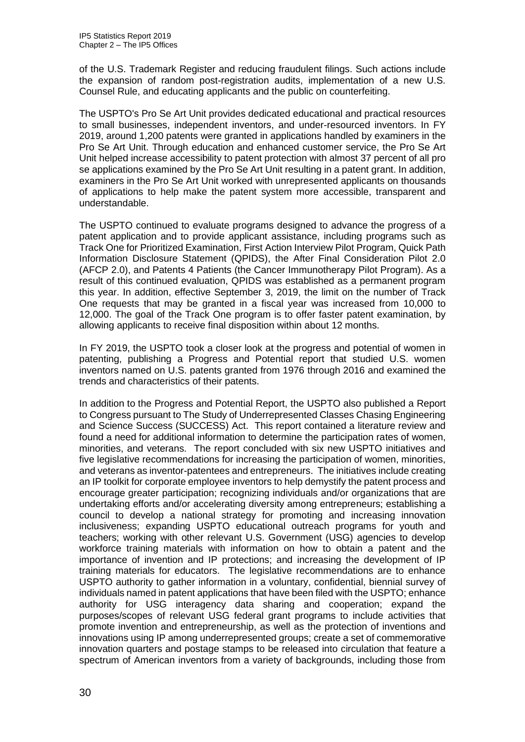of the U.S. Trademark Register and reducing fraudulent filings. Such actions include the expansion of random post-registration audits, implementation of a new U.S. Counsel Rule, and educating applicants and the public on counterfeiting.

The USPTO's Pro Se Art Unit provides dedicated educational and practical resources to small businesses, independent inventors, and under-resourced inventors. In FY 2019, around 1,200 patents were granted in applications handled by examiners in the Pro Se Art Unit. Through education and enhanced customer service, the Pro Se Art Unit helped increase accessibility to patent protection with almost 37 percent of all pro se applications examined by the Pro Se Art Unit resulting in a patent grant. In addition, examiners in the Pro Se Art Unit worked with unrepresented applicants on thousands of applications to help make the patent system more accessible, transparent and understandable.

The USPTO continued to evaluate programs designed to advance the progress of a patent application and to provide applicant assistance, including programs such as Track One for Prioritized Examination, First Action Interview Pilot Program, Quick Path Information Disclosure Statement (QPIDS), the After Final Consideration Pilot 2.0 (AFCP 2.0), and Patents 4 Patients (the Cancer Immunotherapy Pilot Program). As a result of this continued evaluation, QPIDS was established as a permanent program this year. In addition, effective September 3, 2019, the limit on the number of Track One requests that may be granted in a fiscal year was increased from 10,000 to 12,000. The goal of the Track One program is to offer faster patent examination, by allowing applicants to receive final disposition within about 12 months.

In FY 2019, the USPTO took a closer look at the progress and potential of women in patenting, publishing a Progress and Potential report that studied U.S. women inventors named on U.S. patents granted from 1976 through 2016 and examined the trends and characteristics of their patents.

In addition to the Progress and Potential Report, the USPTO also published a Report to Congress pursuant to The Study of Underrepresented Classes Chasing Engineering and Science Success (SUCCESS) Act. This report contained a literature review and found a need for additional information to determine the participation rates of women, minorities, and veterans. The report concluded with six new USPTO initiatives and five legislative recommendations for increasing the participation of women, minorities, and veterans as inventor-patentees and entrepreneurs. The initiatives include creating an IP toolkit for corporate employee inventors to help demystify the patent process and encourage greater participation; recognizing individuals and/or organizations that are undertaking efforts and/or accelerating diversity among entrepreneurs; establishing a council to develop a national strategy for promoting and increasing innovation inclusiveness; expanding USPTO educational outreach programs for youth and teachers; working with other relevant U.S. Government (USG) agencies to develop workforce training materials with information on how to obtain a patent and the importance of invention and IP protections; and increasing the development of IP training materials for educators. The legislative recommendations are to enhance USPTO authority to gather information in a voluntary, confidential, biennial survey of individuals named in patent applications that have been filed with the USPTO; enhance authority for USG interagency data sharing and cooperation; expand the purposes/scopes of relevant USG federal grant programs to include activities that promote invention and entrepreneurship, as well as the protection of inventions and innovations using IP among underrepresented groups; create a set of commemorative innovation quarters and postage stamps to be released into circulation that feature a spectrum of American inventors from a variety of backgrounds, including those from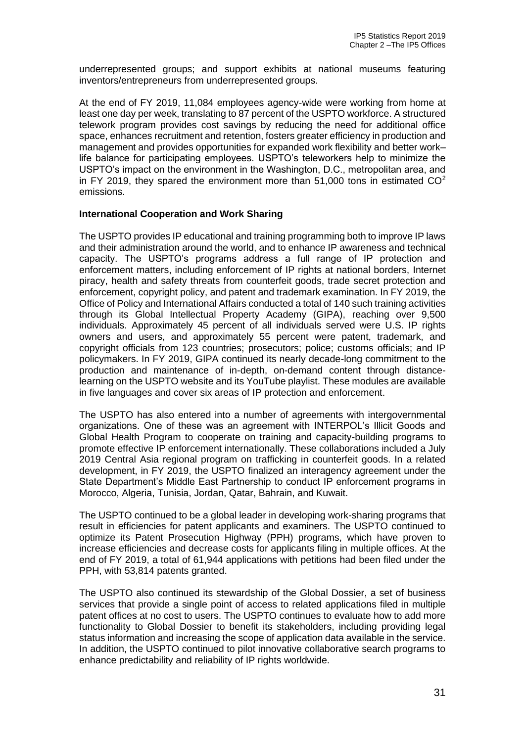underrepresented groups; and support exhibits at national museums featuring inventors/entrepreneurs from underrepresented groups.

At the end of FY 2019, 11,084 employees agency-wide were working from home at least one day per week, translating to 87 percent of the USPTO workforce. A structured telework program provides cost savings by reducing the need for additional office space, enhances recruitment and retention, fosters greater efficiency in production and management and provides opportunities for expanded work flexibility and better work– life balance for participating employees. USPTO's teleworkers help to minimize the USPTO's impact on the environment in the Washington, D.C., metropolitan area, and in FY 2019, they spared the environment more than  $51,000$  tons in estimated  $CO<sup>2</sup>$ emissions.

#### **International Cooperation and Work Sharing**

The USPTO provides IP educational and training programming both to improve IP laws and their administration around the world, and to enhance IP awareness and technical capacity. The USPTO's programs address a full range of IP protection and enforcement matters, including enforcement of IP rights at national borders, Internet piracy, health and safety threats from counterfeit goods, trade secret protection and enforcement, copyright policy, and patent and trademark examination. In FY 2019, the Office of Policy and International Affairs conducted a total of 140 such training activities through its Global Intellectual Property Academy (GIPA), reaching over 9,500 individuals. Approximately 45 percent of all individuals served were U.S. IP rights owners and users, and approximately 55 percent were patent, trademark, and copyright officials from 123 countries; prosecutors; police; customs officials; and IP policymakers. In FY 2019, GIPA continued its nearly decade-long commitment to the production and maintenance of in-depth, on-demand content through distancelearning on the USPTO website and its YouTube playlist. These modules are available in five languages and cover six areas of IP protection and enforcement.

The USPTO has also entered into a number of agreements with intergovernmental organizations. One of these was an agreement with INTERPOL's Illicit Goods and Global Health Program to cooperate on training and capacity-building programs to promote effective IP enforcement internationally. These collaborations included a July 2019 Central Asia regional program on trafficking in counterfeit goods. In a related development, in FY 2019, the USPTO finalized an interagency agreement under the State Department's Middle East Partnership to conduct IP enforcement programs in Morocco, Algeria, Tunisia, Jordan, Qatar, Bahrain, and Kuwait.

The USPTO continued to be a global leader in developing work-sharing programs that result in efficiencies for patent applicants and examiners. The USPTO continued to optimize its Patent Prosecution Highway (PPH) programs, which have proven to increase efficiencies and decrease costs for applicants filing in multiple offices. At the end of FY 2019, a total of 61,944 applications with petitions had been filed under the PPH, with 53,814 patents granted.

The USPTO also continued its stewardship of the Global Dossier, a set of business services that provide a single point of access to related applications filed in multiple patent offices at no cost to users. The USPTO continues to evaluate how to add more functionality to Global Dossier to benefit its stakeholders, including providing legal status information and increasing the scope of application data available in the service. In addition, the USPTO continued to pilot innovative collaborative search programs to enhance predictability and reliability of IP rights worldwide.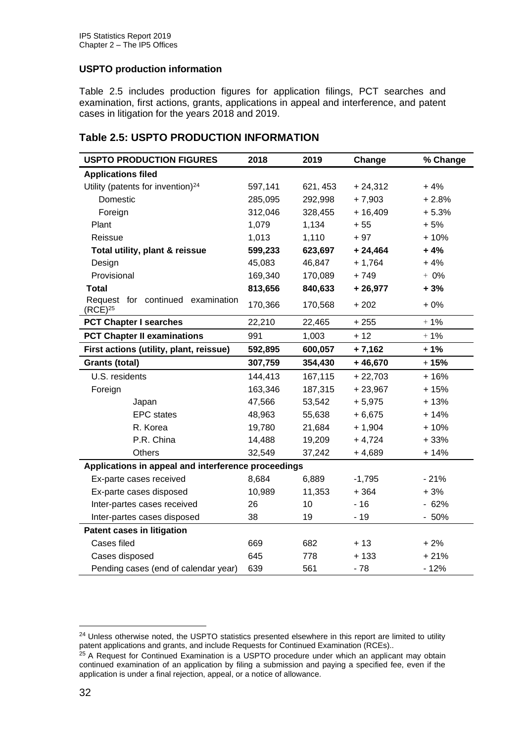## **USPTO production information**

Table 2.5 includes production figures for application filings, PCT searches and examination, first actions, grants, applications in appeal and interference, and patent cases in litigation for the years 2018 and 2019.

# **Table 2.5: USPTO PRODUCTION INFORMATION**

| <b>USPTO PRODUCTION FIGURES</b>                     | 2018    | 2019     | Change    | % Change |  |
|-----------------------------------------------------|---------|----------|-----------|----------|--|
| <b>Applications filed</b>                           |         |          |           |          |  |
| Utility (patents for invention) <sup>24</sup>       | 597,141 | 621, 453 | $+24,312$ | $+4%$    |  |
| Domestic                                            | 285,095 | 292,998  | $+7,903$  | $+2.8%$  |  |
| Foreign                                             | 312,046 | 328,455  | $+16,409$ | $+5.3%$  |  |
| Plant                                               | 1,079   | 1,134    | $+55$     | $+5%$    |  |
| Reissue                                             | 1,013   | 1,110    | $+97$     | $+10%$   |  |
| Total utility, plant & reissue                      | 599,233 | 623,697  | $+24,464$ | $+4%$    |  |
| Design                                              | 45,083  | 46,847   | $+ 1,764$ | $+4%$    |  |
| Provisional                                         | 169,340 | 170,089  | $+749$    | $+ 0\%$  |  |
| <b>Total</b>                                        | 813,656 | 840,633  | $+26,977$ | $+3%$    |  |
| Request for continued examination<br>$(RCE)^{25}$   | 170,366 | 170,568  | $+202$    | $+0\%$   |  |
| <b>PCT Chapter I searches</b>                       | 22,210  | 22,465   | $+255$    | $+1%$    |  |
| <b>PCT Chapter II examinations</b>                  | 991     | 1,003    | $+12$     | $+1%$    |  |
| First actions (utility, plant, reissue)             | 592,895 | 600,057  | $+7,162$  | $+1%$    |  |
| <b>Grants (total)</b>                               | 307,759 | 354,430  | $+46,670$ | $+15%$   |  |
| U.S. residents                                      | 144,413 | 167,115  | $+22,703$ | $+16%$   |  |
| Foreign                                             | 163,346 | 187,315  | $+23,967$ | $+15%$   |  |
| Japan                                               | 47,566  | 53,542   | $+5,975$  | $+13%$   |  |
| <b>EPC</b> states                                   | 48,963  | 55,638   | $+6,675$  | $+14%$   |  |
| R. Korea                                            | 19,780  | 21,684   | $+1,904$  | $+10%$   |  |
| P.R. China                                          | 14,488  | 19,209   | $+4,724$  | $+33%$   |  |
| <b>Others</b>                                       | 32,549  | 37,242   | $+4,689$  | $+14%$   |  |
| Applications in appeal and interference proceedings |         |          |           |          |  |
| Ex-parte cases received                             | 8,684   | 6,889    | $-1,795$  | $-21%$   |  |
| Ex-parte cases disposed                             | 10,989  | 11,353   | $+364$    | $+3%$    |  |
| Inter-partes cases received                         | 26      | 10       | $-16$     | $-62%$   |  |
| Inter-partes cases disposed                         | 38      | 19       | $-19$     | $-50%$   |  |
| <b>Patent cases in litigation</b>                   |         |          |           |          |  |
| Cases filed                                         | 669     | 682      | $+13$     | $+2%$    |  |
| Cases disposed                                      | 645     | 778      | $+133$    | $+21%$   |  |
| Pending cases (end of calendar year)                | 639     | 561      | $-78$     | $-12%$   |  |

<sup>&</sup>lt;sup>24</sup> Unless otherwise noted, the USPTO statistics presented elsewhere in this report are limited to utility patent applications and grants, and include Requests for Continued Examination (RCEs)..

<sup>&</sup>lt;sup>25</sup> A Request for Continued Examination is a USPTO procedure under which an applicant may obtain continued examination of an application by filing a submission and paying a specified fee, even if the application is under a final rejection, appeal, or a notice of allowance.